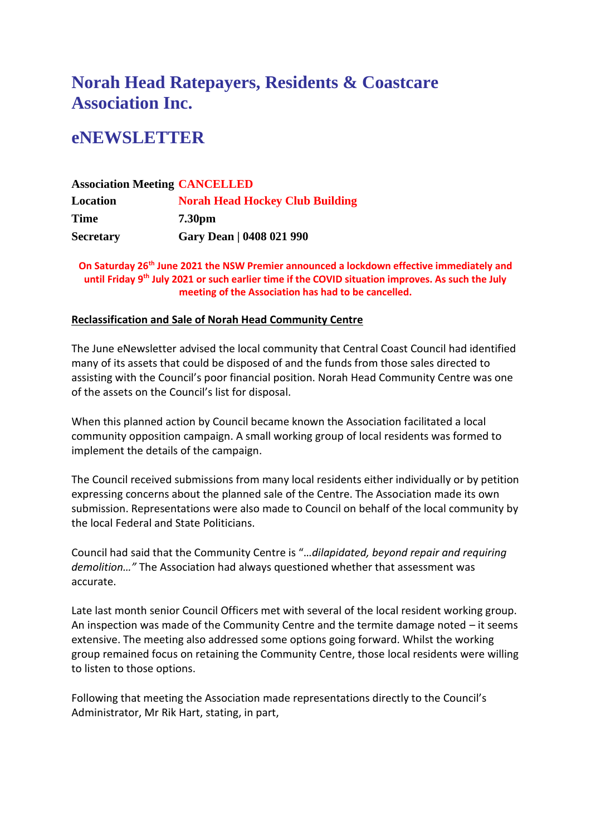# **Norah Head Ratepayers, Residents & Coastcare Association Inc.**

# **eNEWSLETTER**

### **Association Meeting CANCELLED Location Norah Head Hockey Club Building Time 7.30pm Secretary Gary Dean | 0408 021 990**

**On Saturday 26th June 2021 the NSW Premier announced a lockdown effective immediately and until Friday 9th July 2021 or such earlier time if the COVID situation improves. As such the July meeting of the Association has had to be cancelled.**

### **Reclassification and Sale of Norah Head Community Centre**

The June eNewsletter advised the local community that Central Coast Council had identified many of its assets that could be disposed of and the funds from those sales directed to assisting with the Council's poor financial position. Norah Head Community Centre was one of the assets on the Council's list for disposal.

When this planned action by Council became known the Association facilitated a local community opposition campaign. A small working group of local residents was formed to implement the details of the campaign.

The Council received submissions from many local residents either individually or by petition expressing concerns about the planned sale of the Centre. The Association made its own submission. Representations were also made to Council on behalf of the local community by the local Federal and State Politicians.

Council had said that the Community Centre is "…*dilapidated, beyond repair and requiring demolition…"* The Association had always questioned whether that assessment was accurate.

Late last month senior Council Officers met with several of the local resident working group. An inspection was made of the Community Centre and the termite damage noted – it seems extensive. The meeting also addressed some options going forward. Whilst the working group remained focus on retaining the Community Centre, those local residents were willing to listen to those options.

Following that meeting the Association made representations directly to the Council's Administrator, Mr Rik Hart, stating, in part,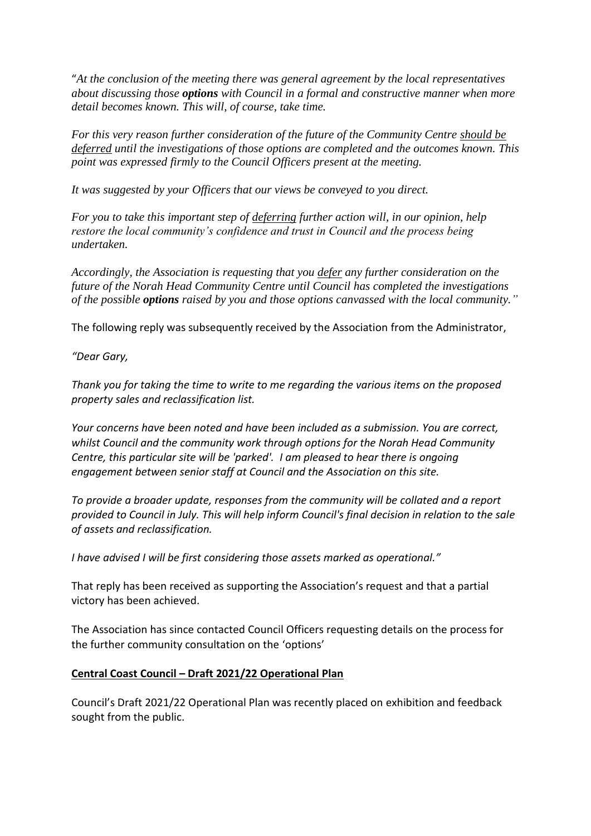"*At the conclusion of the meeting there was general agreement by the local representatives about discussing those options with Council in a formal and constructive manner when more detail becomes known. This will, of course, take time.*

*For this very reason further consideration of the future of the Community Centre should be deferred until the investigations of those options are completed and the outcomes known. This point was expressed firmly to the Council Officers present at the meeting.*

*It was suggested by your Officers that our views be conveyed to you direct.*

*For you to take this important step of deferring further action will, in our opinion, help restore the local community's confidence and trust in Council and the process being undertaken.*

*Accordingly, the Association is requesting that you defer any further consideration on the future of the Norah Head Community Centre until Council has completed the investigations of the possible options raised by you and those options canvassed with the local community."*

The following reply was subsequently received by the Association from the Administrator,

*"Dear Gary,*

*Thank you for taking the time to write to me regarding the various items on the proposed property sales and reclassification list.*

*Your concerns have been noted and have been included as a submission. You are correct, whilst Council and the community work through options for the Norah Head Community Centre, this particular site will be 'parked'. I am pleased to hear there is ongoing engagement between senior staff at Council and the Association on this site.* 

*To provide a broader update, responses from the community will be collated and a report provided to Council in July. This will help inform Council's final decision in relation to the sale of assets and reclassification.* 

*I have advised I will be first considering those assets marked as operational."*

That reply has been received as supporting the Association's request and that a partial victory has been achieved.

The Association has since contacted Council Officers requesting details on the process for the further community consultation on the 'options'

### **Central Coast Council – Draft 2021/22 Operational Plan**

Council's Draft 2021/22 Operational Plan was recently placed on exhibition and feedback sought from the public.